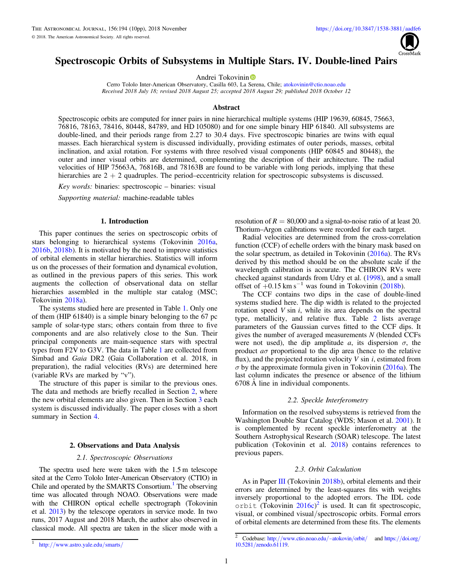

# Spectroscopic Orbits of Subsystems in Multiple Stars. IV. Double-lined Pairs

A[n](https://orcid.org/0000-0002-2084-0782)drei Tokovinin<sup>®</sup>

Cerro Tololo Inter-American Observatory, Casilla 603, La [Sere](https://orcid.org/0000-0002-2084-0782)na, Chile; [atokovinin@ctio.noao.edu](mailto:atokovinin@ctio.noao.edu) Received 2018 July 18; revised 2018 August 25; accepted 2018 August 29; published 2018 October 12

#### Abstract

Spectroscopic orbits are computed for inner pairs in nine hierarchical multiple systems (HIP 19639, 60845, 75663, 76816, 78163, 78416, 80448, 84789, and HD 105080) and for one simple binary HIP 61840. All subsystems are double-lined, and their periods range from 2.27 to 30.4 days. Five spectroscopic binaries are twins with equal masses. Each hierarchical system is discussed individually, providing estimates of outer periods, masses, orbital inclination, and axial rotation. For systems with three resolved visual components (HIP 60845 and 80448), the outer and inner visual orbits are determined, complementing the description of their architecture. The radial velocities of HIP 75663A, 76816B, and 78163B are found to be variable with long periods, implying that these hierarchies are  $2 + 2$  quadruples. The period–eccentricity relation for spectroscopic subsystems is discussed.

Key words: binaries: spectroscopic – binaries: visual

Supporting material: machine-readable tables

# 1. Introduction

This paper continues the series on spectroscopic orbits of stars belonging to hierarchical systems (Tokovinin [2016a,](#page-9-0) [2016b,](#page-9-0) [2018b](#page-9-0)). It is motivated by the need to improve statistics of orbital elements in stellar hierarchies. Statistics will inform us on the processes of their formation and dynamical evolution, as outlined in the previous papers of this series. This work augments the collection of observational data on stellar hierarchies assembled in the multiple star catalog (MSC; Tokovinin [2018a](#page-9-0)).

The systems studied here are presented in Table [1.](#page-1-0) Only one of them (HIP 61840) is a simple binary belonging to the 67 pc sample of solar-type stars; others contain from three to five components and are also relatively close to the Sun. Their principal components are main-sequence stars with spectral types from F2V to G3V. The data in Table [1](#page-1-0) are collected from Simbad and Gaia DR2 (Gaia Collaboration et al. 2018, in preparation), the radial velocities (RVs) are determined here (variable RVs are marked by "v").

The structure of this paper is similar to the previous ones. The data and methods are briefly recalled in Section 2, where the new orbital elements are also given. Then in Section [3](#page-1-0) each system is discussed individually. The paper closes with a short summary in Section [4.](#page-8-0)

# 2. Observations and Data Analysis

# 2.1. Spectroscopic Observations

The spectra used here were taken with the 1.5 m telescope sited at the Cerro Tololo Inter-American Observatory (CTIO) in Chile and operated by the SMARTS Consortium.<sup>1</sup> The observing time was allocated through NOAO. Observations were made with the CHIRON optical echelle spectrograph (Tokovinin et al. [2013](#page-9-0)) by the telescope operators in service mode. In two runs, 2017 August and 2018 March, the author also observed in classical mode. All spectra are taken in the slicer mode with a

resolution of  $R = 80,000$  and a signal-to-noise ratio of at least 20. Thorium–Argon calibrations were recorded for each target.

Radial velocities are determined from the cross-correlation function (CCF) of echelle orders with the binary mask based on the solar spectrum, as detailed in Tokovinin ([2016a](#page-9-0)). The RVs derived by this method should be on the absolute scale if the wavelength calibration is accurate. The CHIRON RVs were checked against standards from Udry et al. ([1998](#page-9-0)), and a small offset of  $+0.15 \text{ km s}^{-1}$  was found in Tokovinin ([2018b](#page-9-0)).

The CCF contains two dips in the case of double-lined systems studied here. The dip width is related to the projected rotation speed  $V \sin i$ , while its area depends on the spectral type, metallicity, and relative flux. Table [2](#page-2-0) lists average parameters of the Gaussian curves fitted to the CCF dips. It gives the number of averaged measurements  $N$  (blended CCFs were not used), the dip amplitude a, its dispersion  $\sigma$ , the product  $a\sigma$  proportional to the dip area (hence to the relative flux), and the projected rotation velocity  $V \sin i$ , estimated from  $\sigma$  by the approximate formula given in Tokovinin ([2016a](#page-9-0)). The last column indicates the presence or absence of the lithium 6708 Å line in individual components.

#### 2.2. Speckle Interferometry

Information on the resolved subsystems is retrieved from the Washington Double Star Catalog (WDS; Mason et al. [2001](#page-9-0)). It is complemented by recent speckle interferometry at the Southern Astrophysical Research (SOAR) telescope. The latest publication (Tokovinin et al. [2018](#page-9-0)) contains references to previous papers.

# 2.3. Orbit Calculation

As in Paper [III](#page-9-0) (Tokovinin [2018b](#page-9-0)), orbital elements and their errors are determined by the least-squares fits with weights inversely proportional to the adopted errors. The IDL code  $\text{orbit}$  (Tokovinin [2016c](#page-9-0))<sup>2</sup> is used. It can fit spectroscopic, visual, or combined visual/spectroscopic orbits. Formal errors of orbital elements are determined from these fits. The elements

<sup>1</sup> http://[www.astro.yale.edu](http://www.astro.yale.edu/smarts/)/smarts/

 $\frac{2}{2}$  Codebase: http://[www.ctio.noao.edu](http://www.ctio.noao.edu/~atokovin/orbit/)/~atokovin/orbit/ and https://[doi.org](https://doi.org/10.5281/zenodo.61119)/ 10.5281/[zenodo.61119.](https://doi.org/10.5281/zenodo.61119)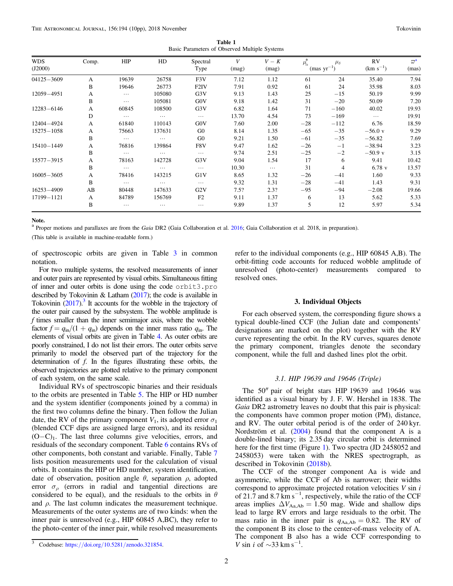Table 1 Basic Parameters of Observed Multiple Systems

<span id="page-1-0"></span>

| <b>WDS</b><br>(J2000) | Comp. | <b>HIP</b> | HD       | Spectral<br>Type | V<br>(mag) | $V-K$<br>(mag) | $\mu_{\alpha}^*$ | $\mu_{\delta}$<br>${\rm (mas~yr^{-1})}$ | RV<br>$(km s^{-1})$ | $\overline{D}^{\mathbf{a}}$<br>(mas) |
|-----------------------|-------|------------|----------|------------------|------------|----------------|------------------|-----------------------------------------|---------------------|--------------------------------------|
| $04125 - 3609$        | A     | 19639      | 26758    | F3V              | 7.12       | 1.12           | 61               | 24                                      | 35.40               | 7.94                                 |
|                       | B     | 19646      | 26773    | F <sub>2IV</sub> | 7.91       | 0.92           | 61               | 24                                      | 35.98               | 8.03                                 |
| 12059-4951            | A     | $\cdots$   | 105080   | G3V              | 9.13       | 1.43           | 25               | $-15$                                   | 50.19               | 9.99                                 |
|                       | B     | $\cdots$   | 105081   | G0V              | 9.18       | 1.42           | 31               | $-20$                                   | 50.09               | 7.20                                 |
| 12283-6146            | A     | 60845      | 108500   | G3V              | 6.82       | 1.64           | 71               | $-160$                                  | 40.02               | 19.93                                |
|                       | D     | $\cdots$   | $\cdots$ | $\cdots$         | 13.70      | 4.54           | 73               | $-169$                                  | $\cdots$            | 19.91                                |
| 12404-4924            | A     | 61840      | 110143   | G0V              | 7.60       | 2.00           | $-28$            | $-112$                                  | 6.76                | 18.59                                |
| $15275 - 1058$        | A     | 75663      | 137631   | G <sub>0</sub>   | 8.14       | 1.35           | $-65$            | $-35$                                   | $-56.0$ v           | 9.29                                 |
|                       | B     | $\cdots$   | $\cdots$ | G <sub>0</sub>   | 9.21       | 1.50           | $-61$            | $-35$                                   | $-56.82$            | 7.69                                 |
| $15410 - 1449$        | A     | 76816      | 139864   | F8V              | 9.47       | 1.62           | $-26$            | $-1$                                    | $-38.94$            | 3.23                                 |
|                       | B     | $\cdots$   | $\cdots$ | $\cdots$         | 9.74       | 2.51           | $-25$            | $-2$                                    | $-50.9$ v           | 3.15                                 |
| 15577-3915            | A     | 78163      | 142728   | G3V              | 9.04       | 1.54           | 17               | 6                                       | 9.41                | 10.42                                |
|                       | B     | $\cdots$   | $\cdots$ | $\cdots$         | 10.30      | $\cdots$       | 31               | $\overline{4}$                          | $6.78$ v            | 13.57                                |
| $16005 - 3605$        | A     | 78416      | 143215   | G1V              | 8.65       | 1.32           | $-26$            | $-41$                                   | 1.60                | 9.33                                 |
|                       | B     | $\cdots$   | $\cdots$ | $\cdots$         | 9.32       | 1.31           | $-28$            | $-41$                                   | 1.43                | 9.31                                 |
| 16253-4909            | AB    | 80448      | 147633   | G2V              | 7.5?       | 2.3?           | $-95$            | $-94$                                   | $-2.08$             | 19.66                                |
| 17199-1121            | A     | 84789      | 156769   | F2               | 9.11       | 1.37           | 6                | 13                                      | 5.62                | 5.33                                 |
|                       | B     | $\cdots$   | $\cdots$ | $\cdots$         | 9.89       | 1.37           | 5                | 12                                      | 5.97                | 5.34                                 |

Note.

<sup>a</sup> Proper motions and parallaxes are from the Gaia DR2 (Gaia Collaboration et al. [2016](#page-9-0); Gaia Collaboration et al. 2018, in preparation).

(This table is available in machine-readable form.)

of spectroscopic orbits are given in Table [3](#page-3-0) in common notation.

For two multiple systems, the resolved measurements of inner and outer pairs are represented by visual orbits. Simultaneous fitting of inner and outer orbits is done using the code orbit3.pro described by Tokovinin & Latham ([2017](#page-9-0)); the code is available in Tokovinin ([2017](#page-9-0)).<sup>3</sup> It accounts for the wobble in the trajectory of the outer pair caused by the subsystem. The wobble amplitude is  $f$  times smaller than the inner semimajor axis, where the wobble factor  $f = q_{\text{in}}/(1 + q_{\text{in}})$  depends on the inner mass ratio  $q_{\text{in}}$ . The elements of visual orbits are given in Table [4](#page-4-0). As outer orbits are poorly constrained, I do not list their errors. The outer orbits serve primarily to model the observed part of the trajectory for the determination of  $f$ . In the figures illustrating these orbits, the observed trajectories are plotted relative to the primary component of each system, on the same scale.

Individual RVs of spectroscopic binaries and their residuals to the orbits are presented in Table [5.](#page-5-0) The HIP or HD number and the system identifier (components joined by a comma) in the first two columns define the binary. Then follow the Julian date, the RV of the primary component  $V_1$ , its adopted error  $\sigma_1$ (blended CCF dips are assigned large errors), and its residual (O−C)1. The last three columns give velocities, errors, and residuals of the secondary component. Table [6](#page-5-0) contains RVs of other components, both constant and variable. Finally, Table [7](#page-6-0) lists position measurements used for the calculation of visual orbits. It contains the HIP or HD number, system identification, date of observation, position angle  $\theta$ , separation  $\rho$ , adopted error  $\sigma_{\rho}$  (errors in radial and tangential directions are considered to be equal), and the residuals to the orbits in  $\theta$ and  $\rho$ . The last column indicates the measurement technique. Measurements of the outer systems are of two kinds: when the inner pair is unresolved (e.g., HIP 60845 A,BC), they refer to the photo-center of the inner pair, while resolved measurements

refer to the individual components (e.g., HIP 60845 A,B). The orbit-fitting code accounts for reduced wobble amplitude of unresolved (photo-center) measurements compared to resolved ones.

#### 3. Individual Objects

For each observed system, the corresponding figure shows a typical double-lined CCF (the Julian date and components' designations are marked on the plot) together with the RV curve representing the orbit. In the RV curves, squares denote the primary component, triangles denote the secondary component, while the full and dashed lines plot the orbit.

# 3.1. HIP 19639 and 19646 (Triple)

The 50″ pair of bright stars HIP 19639 and 19646 was identified as a visual binary by J. F. W. Hershel in 1838. The Gaia DR2 astrometry leaves no doubt that this pair is physical: the components have common proper motion (PM), distance, and RV. The outer orbital period is of the order of 240 kyr. Nordström et al. ([2004](#page-9-0)) found that the component A is a double-lined binary; its 2.35 day circular orbit is determined here for the first time (Figure [1](#page-6-0)). Two spectra (JD 2458052 and 2458053) were taken with the NRES spectrograph, as described in Tokovinin ([2018b](#page-9-0)).

The CCF of the stronger component Aa is wide and asymmetric, while the CCF of Ab is narrower; their widths correspond to approximate projected rotation velocities  $V \sin i$ of 21.7 and 8.7  $\text{km s}^{-1}$ , respectively, while the ratio of the CCF areas implies  $\Delta V_{\text{Aa,Ab}} = 1.50$  mag. Wide and shallow dips lead to large RV errors and large residuals to the orbit. The mass ratio in the inner pair is  $q_{\text{Aa,Ab}} = 0.82$ . The RV of the component B its close to the center-of-mass velocity of A. The component B also has a wide CCF corresponding to V sin *i* of  $\sim$ 33 km s<sup>-1</sup>.

<sup>3</sup> Codebase: https://doi.org/10.5281/[zenodo.321854](https://doi.org/10.5281/zenodo.321854).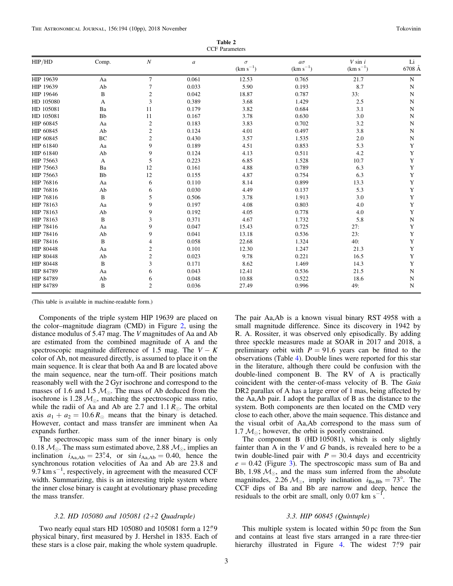| Table 2               |  |
|-----------------------|--|
| <b>CCF</b> Parameters |  |

<span id="page-2-0"></span>

| HIP/HD    | Comp.        | $\boldsymbol{N}$ | $\boldsymbol{a}$ | $\sigma$<br>$(km s^{-1})$ | $a\sigma$<br>$(km s^{-1})$ | $V \sin i$<br>$(km s^{-1})$ | Li<br>6708 Å |
|-----------|--------------|------------------|------------------|---------------------------|----------------------------|-----------------------------|--------------|
|           |              |                  |                  |                           |                            |                             |              |
| HIP 19639 | Aa           | $\tau$           | 0.061            | 12.53                     | 0.765                      | 21.7                        | ${\bf N}$    |
| HIP 19639 | Ab           | 7                | 0.033            | 5.90                      | 0.193                      | 8.7                         | ${\bf N}$    |
| HIP 19646 | B            | 2                | 0.042            | 18.87                     | 0.787                      | 33:                         | $\mathbf N$  |
| HD 105080 | A            | 3                | 0.389            | 3.68                      | 1.429                      | 2.5                         | N            |
| HD 105081 | Ba           | 11               | 0.179            | 3.82                      | 0.684                      | 3.1                         | ${\bf N}$    |
| HD 105081 | Bb           | 11               | 0.167            | 3.78                      | 0.630                      | 3.0                         | ${\bf N}$    |
| HIP 60845 | Aa           | $\sqrt{2}$       | 0.183            | 3.83                      | 0.702                      | 3.2                         | ${\bf N}$    |
| HIP 60845 | Ab           | $\boldsymbol{2}$ | 0.124            | 4.01                      | 0.497                      | 3.8                         | ${\bf N}$    |
| HIP 60845 | BC           | $\mathbf{2}$     | 0.430            | 3.57                      | 1.535                      | 2.0                         | ${\bf N}$    |
| HIP 61840 | Aa           | 9                | 0.189            | 4.51                      | 0.853                      | 5.3                         | Y            |
| HIP 61840 | Ab           | 9                | 0.124            | 4.13                      | 0.511                      | 4.2                         | Y            |
| HIP 75663 | A            | 5                | 0.223            | 6.85                      | 1.528                      | 10.7                        | Y            |
| HIP 75663 | Ba           | 12               | 0.161            | 4.88                      | 0.789                      | 6.3                         | Y            |
| HIP 75663 | Bb           | 12               | 0.155            | 4.87                      | 0.754                      | 6.3                         | Y            |
| HIP 76816 | Aa           | 6                | 0.110            | 8.14                      | 0.899                      | 13.3                        | Y            |
| HIP 76816 | Ab           | 6                | 0.030            | 4.49                      | 0.137                      | 5.3                         | Y            |
| HIP 76816 | $\, {\bf B}$ | 5                | 0.506            | 3.78                      | 1.913                      | 3.0                         | Y            |
| HIP 78163 | Aa           | 9                | 0.197            | 4.08                      | 0.803                      | 4.0                         | Y            |
| HIP 78163 | Ab           | 9                | 0.192            | 4.05                      | 0.778                      | 4.0                         | Y            |
| HIP 78163 | $\, {\bf B}$ | 3                | 0.371            | 4.67                      | 1.732                      | 5.8                         | ${\bf N}$    |
| HIP 78416 | Aa           | 9                | 0.047            | 15.43                     | 0.725                      | 27:                         | Y            |
| HIP 78416 | Ab           | 9                | 0.041            | 13.18                     | 0.536                      | 23:                         | Y            |
| HIP 78416 | B            | $\overline{4}$   | 0.058            | 22.68                     | 1.324                      | 40:                         | Y            |
| HIP 80448 | Aa           | $\boldsymbol{2}$ | 0.101            | 12.30                     | 1.247                      | 21.3                        | Y            |
| HIP 80448 | Ab           | $\boldsymbol{2}$ | 0.023            | 9.78                      | 0.221                      | 16.5                        | Y            |
| HIP 80448 | B            | 3                | 0.171            | 8.62                      | 1.469                      | 14.3                        | Y            |
| HIP 84789 | Aa           | 6                | 0.043            | 12.41                     | 0.536                      | 21.5                        | ${\bf N}$    |
| HIP 84789 | Ab           | 6                | 0.048            | 10.88                     | 0.522                      | 18.6                        | N            |
| HIP 84789 | B            | $\overline{c}$   | 0.036            | 27.49                     | 0.996                      | 49:                         | $\mathbf N$  |

(This table is available in machine-readable form.)

Components of the triple system HIP 19639 are placed on the color–magnitude diagram (CMD) in Figure [2,](#page-6-0) using the distance modulus of 5.47 mag. The V magnitudes of Aa and Ab are estimated from the combined magnitude of A and the spectroscopic magnitude difference of 1.5 mag. The  $V - K$ color of Ab, not measured directly, is assumed to place it on the main sequence. It is clear that both Aa and B are located above the main sequence, near the turn-off. Their positions match reasonably well with the 2 Gyr isochrone and correspond to the masses of 1.6 and 1.5  $M_{\odot}$ . The mass of Ab deduced from the isochrone is 1.28  $M_{\odot}$ , matching the spectroscopic mass ratio, while the radii of Aa and Ab are 2.7 and 1.1  $R_{\odot}$ . The orbital axis  $a_1 + a_2 = 10.6 R_{\odot}$  means that the binary is detached. However, contact and mass transfer are imminent when Aa expands further.

The spectroscopic mass sum of the inner binary is only 0.18  $M_{\odot}$ . The mass sum estimated above, 2.88  $M_{\odot}$ , implies an inclination  $i_{\text{Aa,Ab}} = 23^{\circ}4$ , or sin  $i_{\text{Aa,Ab}} = 0.40$ , hence the synchronous rotation velocities of Aa and Ab are 23.8 and  $9.7 \text{ km s}^{-1}$ , respectively, in agreement with the measured CCF width. Summarizing, this is an interesting triple system where the inner close binary is caught at evolutionary phase preceding the mass transfer.

## 3.2. HD 105080 and 105081 (2+2 Quadruple)

Two nearly equal stars HD  $105080$  and  $105081$  form a  $12\rlap{.}^{\prime\prime}9$ physical binary, first measured by J. Hershel in 1835. Each of these stars is a close pair, making the whole system quadruple.

The pair Aa,Ab is a known visual binary RST 4958 with a small magnitude difference. Since its discovery in 1942 by R. A. Rossiter, it was observed only episodically. By adding three speckle measures made at SOAR in 2017 and 2018, a preliminary orbit with  $P = 91.6$  years can be fitted to the observations (Table [4](#page-4-0)). Double lines were reported for this star in the literature, although there could be confusion with the double-lined component B. The RV of A is practically coincident with the center-of-mass velocity of B. The Gaia DR2 parallax of A has a large error of 1 mas, being affected by the Aa,Ab pair. I adopt the parallax of B as the distance to the system. Both components are then located on the CMD very close to each other, above the main sequence. This distance and the visual orbit of Aa,Ab correspond to the mass sum of 1.7  $\mathcal{M}_{\odot}$ ; however, the orbit is poorly constrained.

The component B (HD 105081), which is only slightly fainter than A in the  $V$  and  $G$  bands, is revealed here to be a twin double-lined pair with  $P = 30.4$  days and eccentricity  $e = 0.42$  (Figure [3](#page-6-0)). The spectroscopic mass sum of Ba and Bb, 1.98  $M_{\odot}$ , and the mass sum inferred from the absolute magnitudes, 2.26  $M_{\odot}$ , imply inclination  $i_{Ba,Bb} = 73^{\circ}$ . The CCF dips of Ba and Bb are narrow and deep, hence the residuals to the orbit are small, only  $0.07 \text{ km s}^{-1}$ . residuals to the orbit are small, only 0.07 km s

# 3.3. HIP 60845 (Quintuple)

This multiple system is located within 50 pc from the Sun and contains at least five stars arranged in a rare three-tier hierarchy illustrated in Figure [4.](#page-6-0) The widest 7."9 pair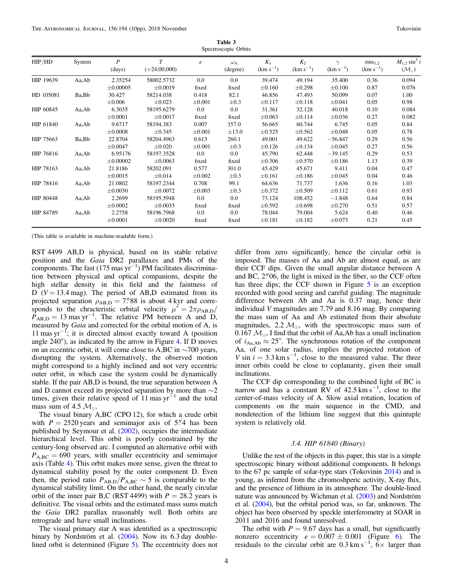Table 3 Spectroscopic Orbits

<span id="page-3-0"></span>

| HIP/HD    | System | $\boldsymbol{P}$<br>(days) | $\tau$<br>$(+24,00,000)$ | $\boldsymbol{e}$ | $\omega_{\rm A}$<br>(degree) | $K_1$<br>$(km s^{-1})$ | $K_2$<br>$(km s^{-1})$ | $(km s^{-1})$ | rms <sub>1.2</sub><br>$(km s^{-1})$ | $M_{1,2} \sin^3 i$<br>$(\mathcal{M}_{\odot})$ |
|-----------|--------|----------------------------|--------------------------|------------------|------------------------------|------------------------|------------------------|---------------|-------------------------------------|-----------------------------------------------|
| HIP 19639 | Aa,Ab  | 2.35254                    | 58002.5732               | 0.0              | 0.0                          | 39.474                 | 49.194                 | 35.400        | 0.36                                | 0.094                                         |
|           |        | $\pm 0.00005$              | $\pm 0.0019$             | fixed            | fixed                        | $\pm 0.160$            | $\pm 0.298$            | $\pm 0.100$   | 0.87                                | 0.076                                         |
| HD 105081 | Ba, Bb | 30.427                     | 58214.038                | 0.418            | 82.1                         | 46.856                 | 47.493                 | 50.099        | 0.07                                | 1.00                                          |
|           |        | $\pm 0.006$                | $\pm 0.023$              | $\pm 0.001$      | $\pm 0.3$                    | $\pm 0.117$            | $\pm 0.118$            | $\pm 0.041$   | 0.05                                | 0.98                                          |
| HIP 60845 | Aa, Ab | 6.3035                     | 58195.6279               | $0.0\,$          | 0.0                          | 31.361                 | 32.128                 | 40.018        | 0.10                                | 0.084                                         |
|           |        | $\pm 0.0001$               | $\pm 0.0017$             | fixed            | fixed                        | $\pm 0.063$            | $\pm 0.114$            | $\pm 0.036$   | 0.27                                | 0.082                                         |
| HIP 61840 | Aa,Ab  | 9.6717                     | 58194.383                | 0.007            | 357.0                        | 56.665                 | 60.744                 | 6.745         | 0.05                                | 0.84                                          |
|           |        | $\pm 0.0008$               | $\pm 0.345$              | $\pm 0.001$      | $\pm 13.0$                   | $\pm 0.525$            | $\pm 0.562$            | $\pm 0.048$   | 0.05                                | 0.78                                          |
| HIP 75663 | Ba, Bb | 22.8704                    | 58204.4963               | 0.613            | 260.1                        | 49.001                 | 49.622                 | $-56.847$     | 0.29                                | 0.56                                          |
|           |        | $\pm 0.0047$               | $\pm 0.020$              | $\pm 0.001$      | $\pm 0.3$                    | ±0.126                 | ±0.134                 | $\pm 0.045$   | 0.27                                | 0.56                                          |
| HIP 76816 | Aa,Ab  | 6.95176                    | 58197.3528               | 0.0              | 0.0                          | 45.790                 | 62.448                 | $-39.145$     | 0.29                                | 0.53                                          |
|           |        | $\pm 0.00002$              | $\pm 0.0063$             | fixed            | fixed                        | $\pm 0.306$            | $\pm 0.570$            | $\pm 0.186$   | 1.13                                | 0.39                                          |
| HIP 78163 | Aa,Ab  | 21.8186                    | 58202.091                | 0.577            | 301.0                        | 45.429                 | 45.671                 | 9.411         | 0.04                                | 0.47                                          |
|           |        | $\pm 0.0015$               | $\pm 0.014$              | $\pm 0.002$      | $\pm 0.3$                    | $\pm 0.161$            | ±0.186                 | $\pm 0.045$   | 0.04                                | 0.46                                          |
| HIP 78416 | Aa,Ab  | 21.0802                    | 58197.2344               | 0.708            | 99.1                         | 64.636                 | 71.737                 | 1.636         | 0.16                                | 1.03                                          |
|           |        | $\pm 0.0030$               | $\pm 0.0072$             | $\pm 0.003$      | $\pm 0.3$                    | $\pm 0.372$            | $\pm 0.509$            | ±0.112        | 0.61                                | 0.93                                          |
| HIP 80448 | Aa,Ab  | 2.2699                     | 58195.5948               | 0.0              | 0.0                          | 73.124                 | 108.452                | $-1.848$      | 0.64                                | 0.84                                          |
|           |        | $\pm 0.0002$               | $\pm 0.0033$             | fixed            | fixed                        | $\pm 0.592$            | $\pm 0.698$            | $\pm 0.270$   | 0.51                                | 0.57                                          |
| HIP 84789 | Aa,Ab  | 2.2758                     | 58196.7968               | 0.0              | 0.0                          | 78.044                 | 79.004                 | 5.624         | 0.40                                | 0.46                                          |
|           |        | $\pm 0.0001$               | $\pm 0.0020$             | fixed            | fixed                        | $\pm 0.181$            | $\pm 0.182$            | $\pm 0.073$   | 0.21                                | 0.45                                          |

(This table is available in machine-readable form.)

RST 4499 AB,D is physical, based on its stable relative position and the Gaia DR2 parallaxes and PMs of the components. The fast  $(175 \text{ mas yr}^{-1})$  PM facilitates discrimination between physical and optical companions, despite the high stellar density in this field and the faintness of D ( $V = 13.4$  mag). The period of AB,D estimated from its projected separation  $\rho_{AB,D} = 7$ ."88 is about 4 kyr and corresponds to the chracteristic orbital velocity  $\mu^* = 2\pi \rho_{AB,D}/$  $P_{AB,D} = 13$  mas yr<sup>-1</sup>. The relative PM between A and D, measured by Gaia and corrected for the orbital motion of A, is 11 mas yr−<sup>1</sup> ; it is directed almost exactly toward A (position angle 240°), as indicated by the arrow in Figure [4](#page-6-0). If D moves on an eccentric orbit, it will come close to A,BC in ∼700 years, disrupting the system. Alternatively, the observed motion might correspond to a highly inclined and not very eccentric outer orbit, in which case the system could be dynamically stable. If the pair AB,D is bound, the true separation between A and D cannot exceed its projected separation by more than ∼2 times, given their relative speed of  $11$  mas yr<sup>-1</sup> and the total mass sum of 4.5  $M_{\odot}$ .

The visual binary A,BC (CPO 12), for which a crude orbit with  $P = 2520$  years and semimajor axis of 5."4 has been published by Seymour et al. ([2002](#page-9-0)), occupies the intermediate hierarchical level. This orbit is poorly constrained by the century-long observed arc. I computed an alternative orbit with  $P_{A,BC} = 690$  years, with smaller eccentricity and semimajor axis (Table [4](#page-4-0)). This orbit makes more sense, given the threat to dynamical stability posed by the outer component D. Even then, the period ratio  $P_{AB,D}/P_{A,BC} \sim 5$  is comparable to the dynamical stability limit. On the other hand, the nearly circular orbit of the inner pair B,C (RST 4499) with  $P = 28.2$  years is definitive. The visual orbits and the estimated mass sums match the Gaia DR2 parallax reasonably well. Both orbits are retrograde and have small inclinations.

The visual primary star A was identified as a spectroscopic binary by Nordström et al. ([2004](#page-9-0)). Now its 6.3 day doublelined orbit is determined (Figure [5](#page-7-0)). The eccentricity does not

differ from zero significantly, hence the circular orbit is imposed. The masses of Aa and Ab are almost equal, as are their CCF dips. Given the small angular distance between A and BC,  $2\degree{'}06$ , the light is mixed in the fiber, so the CCF often has three dips; the CCF shown in Figure [5](#page-7-0) is an exception recorded with good seeing and careful guiding. The magnitude difference between Ab and Aa is 0.37 mag, hence their individual V magnitudes are 7.79 and 8.16 mag. By comparing the mass sum of Aa and Ab estimated from their absolute magnitudes, 2.2  $M_{\odot}$ , with the spectroscopic mass sum of 0.167  $M_{\odot}$ , I find that the orbit of Aa, Ab has a small inclination of  $i_{\text{Aa,Ab}} \approx 25^{\circ}$ . The synchronous rotation of the component Aa, of one solar radius, implies the projected rotation of V sin  $i = 3.3$  km s<sup>-1</sup>, close to the measured value. The three inner orbits could be close to coplanarity, given their small inclinations.

The CCF dip corresponding to the combined light of BC is narrow and has a constant RV of  $42.5 \text{ km s}^{-1}$ , close to the center-of-mass velocity of A. Slow axial rotation, location of components on the main sequence in the CMD, and nondetection of the lithium line suggest that this quintuple system is relatively old.

## 3.4. HIP 61840 (Binary)

Unlike the rest of the objects in this paper, this star is a simple spectroscopic binary without additional components. It belongs to the 67 pc sample of solar-type stars (Tokovinin [2014](#page-9-0)) and is young, as inferred from the chromoshperic activity, X-ray flux, and the presence of lithium in its atmosphere. The double-lined nature was announced by Wichman et al. ([2003](#page-9-0)) and Nordström et al. ([2004](#page-9-0)), but the orbital period was, so far, unknown. The object has been observed by speckle interferometry at SOAR in 2011 and 2016 and found unresolved.

The orbit with  $P = 9.67$  days has a small, but significantly nonzero eccentricity  $e = 0.007 \pm 0.001$  (Figure [6](#page-7-0)). The residuals to the circular orbit are 0.3 km s<sup>-1</sup>,  $6 \times$  larger than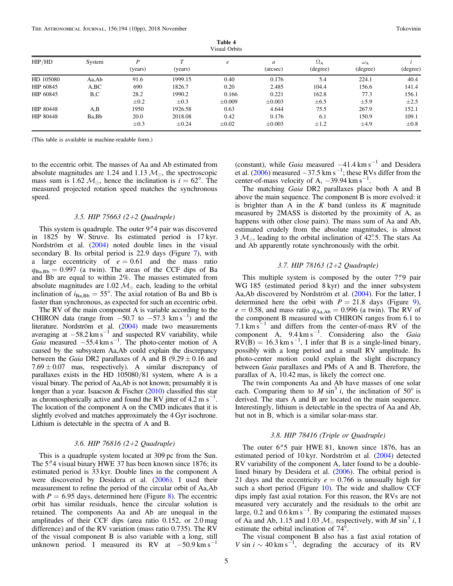<span id="page-4-0"></span>

|           | Visual Orbits |              |                            |             |               |                              |                              |           |  |
|-----------|---------------|--------------|----------------------------|-------------|---------------|------------------------------|------------------------------|-----------|--|
| HIP/HD    | System        | D<br>(years) | $\mathbf{\tau}$<br>(years) | e           | a<br>(arcsec) | $\Omega_{\rm A}$<br>(degree) | $\omega_{\rm A}$<br>(degree) | (degree)  |  |
| HD 105080 | Aa,Ab         | 91.6         | 1999.15                    | 0.40        | 0.176         | 5.4                          | 224.1                        | 40.4      |  |
| HIP 60845 | A, BC         | 690          | 1826.7                     | 0.20        | 2.485         | 104.4                        | 156.6                        | 141.4     |  |
| HIP 60845 | B,C           | 28.2         | 1990.2                     | 0.166       | 0.221         | 162.8                        | 77.3                         | 156.1     |  |
|           |               | $\pm 0.2$    | $\pm 0.3$                  | $\pm 0.009$ | $\pm 0.003$   | $\pm 6.5$                    | $\pm$ 5.9                    | $\pm 2.5$ |  |
| HIP 80448 | A,B           | 1950         | 1926.58                    | 0.63        | 4.644         | 75.5                         | 267.9                        | 152.1     |  |
| HIP 80448 | Ba, Bb        | 20.0         | 2018.08                    | 0.42        | 0.176         | 6.1                          | 150.9                        | 109.1     |  |
|           |               | $\pm 0.3$    | $\pm 0.24$                 | $\pm 0.02$  | $\pm 0.003$   | $\pm 1.2$                    | $\pm 4.9$                    | $\pm 0.8$ |  |

Table 4

(This table is available in machine-readable form.)

to the eccentric orbit. The masses of Aa and Ab estimated from absolute magnitudes are 1.24 and 1.13  $M_{\odot}$ , the spectroscopic mass sum is 1.62  $\mathcal{M}_{\odot}$ , hence the inclination is  $i = 62^{\circ}$ . The measured projected rotation speed matches the synchronous speed.

#### 3.5. HIP 75663 (2+2 Quadruple)

This system is quadruple. The outer  $9''$  pair was discovered in 1825 by W. Struve. Its estimated period is 17 kyr. Nordström et al. ([2004](#page-9-0)) noted double lines in the visual secondary B. Its orbital period is 22.9 days (Figure [7](#page-7-0)), with a large eccentricity of  $e = 0.61$  and the mass ratio  $q_{Ba,Bb} = 0.997$  (a twin). The areas of the CCF dips of Ba and Bb are equal to within 2%. The masses estimated from absolute magnitudes are 1.02  $M_{\odot}$  each, leading to the orbital inclination of  $i_{Ba,Bb} = 55^{\circ}$ . The axial rotation of Ba and Bb is faster than synchronous, as expected for such an eccentric orbit.

The RV of the main component A is variable according to the CHIRON data (range from  $-50.7$  to  $-57.3$  km s<sup>-1</sup>) and the literature. Nordström et al. ([2004](#page-9-0)) made two measurements averaging at  $-58.2 \text{ km s}^{-1}$  and suspected RV variability, while Gaia measured  $-55.4 \text{ km s}^{-1}$ . The photo-center motion of A caused by the subsystem Aa,Ab could explain the discrepancy between the *Gaia* DR2 parallaxes of A and B  $(9.29 \pm 0.16$  and  $7.69 \pm 0.07$  mas, respectively). A similar discrepancy of parallaxes exists in the HD 105080/81 system, where A is a visual binary. The period of Aa,Ab is not known; presumably it is longer than a year. Isaacson & Fischer ([2010](#page-9-0)) classified this star as chromospherically active and found the RV jitter of 4.2 m s<sup>-1</sup>. The location of the component A on the CMD indicates that it is slightly evolved and matches approximately the 4 Gyr isochrone. Lithium is detectable in the spectra of A and B.

## 3.6. HIP 76816 (2+2 Quadruple)

This is a quadruple system located at 309 pc from the Sun. The 5."4 visual binary HWE 37 has been known since 1876; its estimated period is 33 kyr. Double lines in the component A were discovered by Desidera et al. ([2006](#page-9-0)). I used their measurement to refine the period of the circular orbit of Aa,Ab with  $P = 6.95$  days, determined here (Figure [8](#page-7-0)). The eccentric orbit has similar residuals, hence the circular solution is retained. The components Aa and Ab are unequal in the amplitudes of their CCF dips (area ratio 0.152, or 2.0 mag difference) and of the RV variation (mass ratio 0.735). The RV of the visual component B is also variable with a long, still unknown period. I measured its RV at  $-50.9 \text{ km s}^{-1}$ 

(constant), while Gaia measured  $-41.4 \text{ km s}^{-1}$  and Desidera et al.  $(2006)$  $(2006)$  $(2006)$  measured  $-37.5$  km s<sup>-1</sup>; these RVs differ from the center-of-mass velocity of A,  $-39.94 \text{ km s}^{-1}$ .

The matching *Gaia* DR2 parallaxes place both A and B above the main sequence. The component B is more evolved: it is brighter than A in the K band (unless its K magnitude measured by 2MASS is distorted by the proximity of A, as happens with other close pairs). The mass sum of Aa and Ab, estimated crudely from the absolute magnitudes, is almost  $3 \mathcal{M}_{\odot}$ , leading to the orbital inclination of 42°.5. The stars Aa and Ab apparently rotate synchronously with the orbit.

## 3.7. HIP 78163 (2+2 Quadruple)

This multiple system is composed by the outer  $7$ ." $9$  pair WG 185 (estimated period 8 kyr) and the inner subsystem Aa,Ab discovered by Nordström et al. ([2004](#page-9-0)). For the latter, I determined here the orbit with  $P = 21.8$  days (Figure [9](#page-7-0)),  $e = 0.58$ , and mass ratio  $q_{\text{Aa,Ab}} = 0.996$  (a twin). The RV of the component B measured with CHIRON ranges from 6.1 to 7.1 km s<sup> $-1$ </sup> and differs from the center-of-mass RV of the component A,  $9.4 \text{ km s}^{-1}$ . Considering also the Gaia  $RV(B) = 16.3$  km s<sup>-1</sup>, I infer that B is a single-lined binary, possibly with a long period and a small RV amplitude. Its photo-center motion could explain the slight discrepancy between Gaia parallaxes and PMs of A and B. Therefore, the parallax of A, 10.42 mas, is likely the correct one.

The twin components Aa and Ab have masses of one solar each. Comparing them to M sin<sup>3</sup> i, the inclination of 50 $^{\circ}$  is derived. The stars A and B are located on the main sequence. Interestingly, lithium is detectable in the spectra of Aa and Ab, but not in B, which is a similar solar-mass star.

## 3.8. HIP 78416 (Triple or Quadruple)

The outer  $6\rlap.{''}5$  pair HWE 81, known since 1876, has an estimated period of 10 kyr. Nordström et al. ([2004](#page-9-0)) detected RV variability of the component A, later found to be a doublelined binary by Desidera et al. ([2006](#page-9-0)). The orbital period is 21 days and the eccentricity  $e = 0.766$  is unusually high for such a short period (Figure  $10$ ). The wide and shallow CCF dips imply fast axial rotation. For this reason, the RVs are not measured very accurately and the residuals to the orbit are large, 0.2 and  $0.6 \text{ km s}^{-1}$ . By comparing the estimated masses of Aa and Ab, 1.15 and 1.03  $M_{\odot}$  respectively, with M sin<sup>3</sup> i, I estimate the orbital inclination of 74°.

The visual component B also has a fast axial rotation of V sin  $i \sim 40 \text{ km s}^{-1}$ , degrading the accuracy of its RV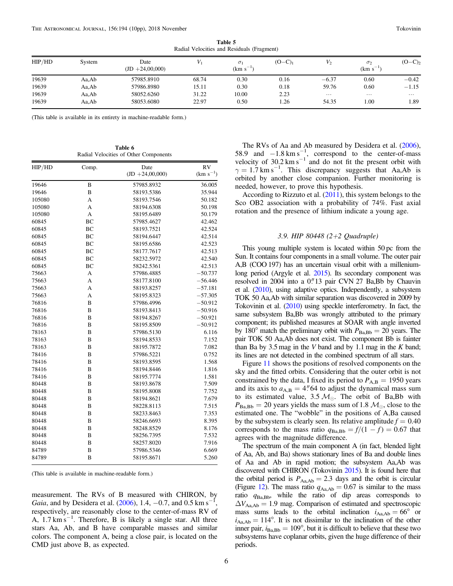<span id="page-5-0"></span>

|                | rudia reformed and redigious (Figurem) |                            |                |                             |                        |                   |                               |                  |  |  |  |
|----------------|----------------------------------------|----------------------------|----------------|-----------------------------|------------------------|-------------------|-------------------------------|------------------|--|--|--|
| HIP/HD         | System                                 | Date<br>$(JD + 24,00,000)$ |                | $\sigma_1$<br>$(km s^{-1})$ | $(O - C)$ <sub>1</sub> |                   | $\sigma_{2}$<br>$(km s^{-1})$ | $(O - C)_{2}$    |  |  |  |
| 19639          | Aa,Ab                                  | 57985.8910                 | 68.74          | 0.30                        | 0.16                   | $-6.37$           | 0.60                          | $-0.42$          |  |  |  |
| 19639          | Aa,Ab                                  | 57986.8980                 | 15.11          | 0.30                        | 0.18                   | 59.76             | 0.60                          | $-1.15$          |  |  |  |
| 19639<br>19639 | Aa,Ab<br>Aa,Ab                         | 58052.6260<br>58053.6080   | 31.22<br>22.97 | 10.00<br>0.50               | 2.23<br>1.26           | $\cdots$<br>54.35 | $\cdots$<br>1.00              | $\cdots$<br>1.89 |  |  |  |
|                |                                        |                            |                |                             |                        |                   |                               |                  |  |  |  |

Table 5 Radial Velocities and Residuals (Fragment)

(This table is available in its entirety in machine-readable form.)

Table 6 Radial Velocities of Other Components

| HIP/HD | Comp.          | Date              | <b>RV</b>     |
|--------|----------------|-------------------|---------------|
|        |                | $(ID +24,00,000)$ | $(km s^{-1})$ |
| 19646  | B              | 57985.8932        | 36.005        |
| 19646  | B              | 58193.5386        | 35.944        |
| 105080 | A              | 58193.7546        | 50.182        |
| 105080 | $\overline{A}$ | 58194.6308        | 50.198        |
| 105080 | A              | 58195.6489        | 50.179        |
| 60845  | <b>BC</b>      | 57985.4627        | 42.462        |
| 60845  | <b>BC</b>      | 58193.7521        | 42.524        |
| 60845  | <b>BC</b>      | 58194.6447        | 42.514        |
| 60845  | <b>BC</b>      | 58195.6586        | 42.523        |
| 60845  | <b>BC</b>      | 58177.7617        | 42.513        |
| 60845  | BC             | 58232.5972        | 42.540        |
| 60845  | <b>BC</b>      | 58242.5361        | 42.513        |
| 75663  | A              | 57986.4885        | $-50.737$     |
| 75663  | A              | 58177.8100        | $-56.446$     |
| 75663  | $\overline{A}$ | 58193.8257        | $-57.181$     |
| 75663  | A              | 58195.8323        | $-57.305$     |
| 76816  | B              | 57986.4996        | $-50.912$     |
| 76816  | B              | 58193.8413        | $-50.916$     |
| 76816  | B              | 58194.8267        | $-50.921$     |
| 76816  | B              | 58195.8509        | $-50.912$     |
| 78163  | B              | 57986.5130        | 6.116         |
| 78163  | B              | 58194.8533        | 7.152         |
| 78163  | B              | 58195.7872        | 7.082         |
| 78416  | B              | 57986.5221        | 0.752         |
| 78416  | B              | 58193.8595        | 1.568         |
| 78416  | B              | 58194.8446        | 1.816         |
| 78416  | B              | 58195.7774        | 1.581         |
| 80448  | B              | 58193.8678        | 7.509         |
| 80448  | B              | 58195.8008        | 7.752         |
| 80448  | B              | 58194.8621        | 7.679         |
| 80448  | B              | 58228.8113        | 7.515         |
| 80448  | B              | 58233.8463        | 7.353         |
| 80448  | B              | 58246.6693        | 8.395         |
| 80448  | B              | 58248.8529        | 8.176         |
| 80448  | B              | 58256.7395        | 7.532         |
| 80448  | B              | 58257.8020        | 7.916         |
| 84789  | B              | 57986.5346        | 6.669         |
| 84789  | B              | 58195.8671        | 5.260         |

(This table is available in machine-readable form.)

measurement. The RVs of B measured with CHIRON, by Gaia, and by Desidera et al. ([2006](#page-9-0)), 1.4,  $-0.7$ , and 0.5 km s<sup>-1</sup>, respectively, are reasonably close to the center-of-mass RV of A,  $1.7 \text{ km s}^{-1}$ . Therefore, B is likely a single star. All three stars Aa, Ab, and B have comparable masses and similar colors. The component A, being a close pair, is located on the CMD just above B, as expected.

The RVs of Aa and Ab measured by Desidera et al. ([2006](#page-9-0)), 58.9 and  $-1.8 \text{ km s}^{-1}$ , correspond to the center-of-mass velocity of  $30.2 \text{ km s}^{-1}$  and do not fit the present orbit with  $\gamma = 1.7$  km s<sup>-1</sup>. This discrepancy suggests that Aa,Ab is orbited by another close companion. Further monitoring is needed, however, to prove this hypothesis.

According to Rizzuto et al.  $(2011)$  $(2011)$  $(2011)$ , this system belongs to the Sco OB2 association with a probability of 74%. Fast axial rotation and the presence of lithium indicate a young age.

# 3.9. HIP 80448 (2+2 Quadruple)

This young multiple system is located within 50 pc from the Sun. It contains four components in a small volume. The outer pair A,B (COO 197) has an uncertain visual orbit with a milleniumlong period (Argyle et al. [2015](#page-9-0)). Its secondary component was resolved in 2004 into a 0."13 pair CVN 27 Ba, Bb by Chauvin et al. ([2010](#page-9-0)), using adaptive optics. Independently, a subsystem TOK 50 Aa,Ab with similar separation was discovered in 2009 by Tokovinin et al. ([2010](#page-9-0)) using speckle interferometry. In fact, the same subsystem Ba,Bb was wrongly attributed to the primary component; its published measures at SOAR with angle inverted by 180° match the preliminary orbit with  $P_{\text{BaBb}} = 20$  years. The pair TOK 50 Aa,Ab does not exist. The component Bb is fainter than Ba by  $3.5 \text{ mag}$  in the V band and by 1.1 mag in the K band; its lines are not detected in the combined spectrum of all stars.

Figure [11](#page-7-0) shows the positions of resolved components on the sky and the fitted orbits. Considering that the outer orbit is not constrained by the data, I fixed its period to  $P_{AB} = 1950$  years and its axis to  $a_{A,B} = 4^{n}64$  to adjust the dynamical mass sum to its estimated value,  $3.5 \, \mathcal{M}_{\odot}$ . The orbit of Ba, Bb with  $P_{\text{Ba,Bb}} = 20$  years yields the mass sum of 1.8  $\mathcal{M}_{\odot}$ , close to the estimated one. The "wobble" in the positions of A,Ba caused by the subsystem is clearly seen. Its relative amplitude  $f = 0.40$ corresponds to the mass ratio  $q_{Ba,Bb} = f/(1 - f) = 0.67$  that agrees with the magnitude difference.

The spectrum of the main component A (in fact, blended light of Aa, Ab, and Ba) shows stationary lines of Ba and double lines of Aa and Ab in rapid motion; the subsystem Aa,Ab was discovered with CHIRON (Tokovinin [2015](#page-9-0)). It is found here that the orbital period is  $P_{Aa,Ab} = 2.3$  days and the orbit is circular (Figure [12](#page-8-0)). The mass ratio  $q_{\text{Aa,Ab}} = 0.67$  is similar to the mass ratio qBa,Bb, while the ratio of dip areas corresponds to  $\Delta V_{\text{Aa,Ab}} = 1.9$  mag. Comparison of estimated and spectroscopic mass sums leads to the orbital inclination  $i_{Aa,Ab} = 66^{\circ}$  or  $i_{\text{Aa,Ab}} = 114^{\circ}$ . It is not dissimilar to the inclination of the other inner pair,  $i_{Ba,Bb} = 109^\circ$ , but it is difficult to believe that these two subsystems have coplanar orbits, given the huge difference of their periods.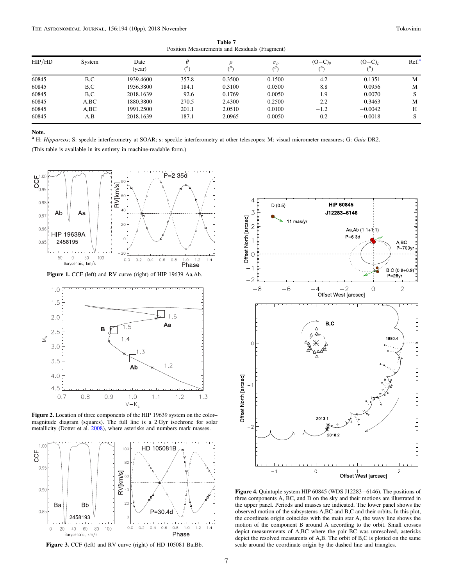Table 7 Position Measurements and Residuals (Fragment)

<span id="page-6-0"></span>

| HIP/HD | System | Date<br>(year) | θ     | ("     | $\sigma_{\alpha}$ | $(O-C)a$ | $(O-C)$   | Ref <sup>a</sup> |
|--------|--------|----------------|-------|--------|-------------------|----------|-----------|------------------|
| 60845  | B.C    | 1939.4600      | 357.8 | 0.3500 | 0.1500            | 4.2      | 0.1351    | M                |
| 60845  | B.C    | 1956.3800      | 184.1 | 0.3100 | 0.0500            | 8.8      | 0.0956    | M                |
| 60845  | B.C    | 2018.1639      | 92.6  | 0.1769 | 0.0050            | 1.9      | 0.0070    | S                |
| 60845  | A,BC   | 1880.3800      | 270.5 | 2.4300 | 0.2500            | 2.2      | 0.3463    | M                |
| 60845  | A,BC   | 1991.2500      | 201.1 | 2.0510 | 0.0100            | $-1.2$   | $-0.0042$ | H                |
| 60845  | A,B    | 2018.1639      | 187.1 | 2.0965 | 0.0050            | 0.2      | $-0.0018$ | S                |

#### Note.

<sup>a</sup> H: Hipparcos; S: speckle interferometry at SOAR; s: speckle interferometry at other telescopes; M: visual micrometer measures; G: Gaia DR2.

(This table is available in its entirety in machine-readable form.)



Figure 1. CCF (left) and RV curve (right) of HIP 19639 Aa,Ab.



Figure 2. Location of three components of the HIP 19639 system on the color– magnitude diagram (squares). The full line is a 2 Gyr isochrone for solar metallicity (Dotter et al. [2008](#page-9-0)), where asterisks and numbers mark masses.



Figure 3. CCF (left) and RV curve (right) of HD 105081 Ba,Bb.



Figure 4. Quintuple system HIP 60845 (WDS J12283−6146). The positions of three components A, BC, and D on the sky and their motions are illustrated in the upper panel. Periods and masses are indicated. The lower panel shows the observed motion of the subsystems A,BC and B,C and their orbits. In this plot, the coordinate origin coincides with the main star A, the wavy line shows the motion of the component B around A according to the orbit. Small crosses depict measurements of A,BC where the pair BC was unresolved, asterisks depict the resolved measurents of A,B. The orbit of B,C is plotted on the same scale around the coordinate origin by the dashed line and triangles.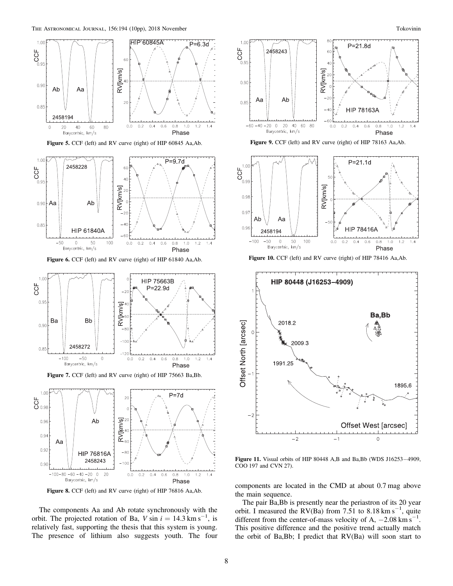<span id="page-7-0"></span>

Figure 5. CCF (left) and RV curve (right) of HIP 60845 Aa,Ab.



Figure 6. CCF (left) and RV curve (right) of HIP 61840 Aa,Ab.



Figure 7. CCF (left) and RV curve (right) of HIP 75663 Ba,Bb.



Figure 8. CCF (left) and RV curve (right) of HIP 76816 Aa,Ab.

The components Aa and Ab rotate synchronously with the orbit. The projected rotation of Ba,  $V \sin i = 14.3 \text{ km s}^{-1}$ , is relatively fast, supporting the thesis that this system is young. The presence of lithium also suggests youth. The four





Figure 10. CCF (left) and RV curve (right) of HIP 78416 Aa,Ab.



Figure 11. Visual orbits of HIP 80448 A,B and Ba,Bb (WDS J16253−4909, COO 197 and CVN 27).

components are located in the CMD at about 0.7 mag above the main sequence.

The pair Ba,Bb is presently near the periastron of its 20 year orbit. I measured the RV(Ba) from 7.51 to 8.18 km s<sup>-1</sup>, quite different from the center-of-mass velocity of A,  $-2.08 \text{ km s}^{-1}$ . This positive difference and the positive trend actually match the orbit of Ba,Bb; I predict that RV(Ba) will soon start to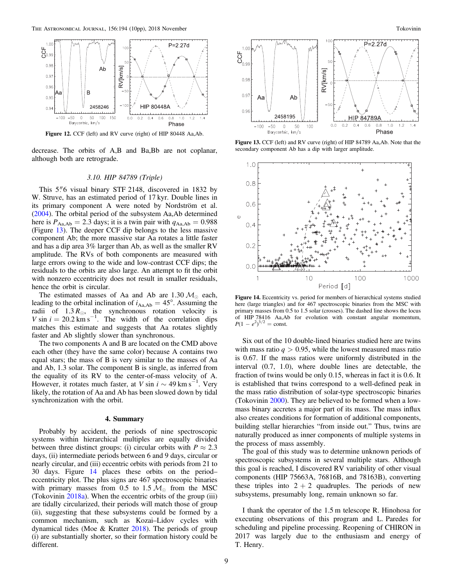<span id="page-8-0"></span>

Figure 12. CCF (left) and RV curve (right) of HIP 80448 Aa,Ab.

decrease. The orbits of A,B and Ba,Bb are not coplanar, although both are retrograde.

## 3.10. HIP 84789 (Triple)

This  $5\%$  visual binary STF 2148, discovered in 1832 by W. Struve, has an estimated period of 17 kyr. Double lines in its primary component A were noted by Nordström et al. ([2004](#page-9-0)). The orbital period of the subsystem Aa,Ab determined here is  $P_{\text{Aa,Ab}} = 2.3$  days; it is a twin pair with  $q_{\text{Aa,Ab}} = 0.988$ (Figure 13). The deeper CCF dip belongs to the less massive component Ab; the more massive star Aa rotates a little faster and has a dip area 3% larger than Ab, as well as the smaller RV amplitude. The RVs of both components are measured with large errors owing to the wide and low-contrast CCF dips; the residuals to the orbits are also large. An attempt to fit the orbit with nonzero eccentricity does not result in smaller residuals, hence the orbit is circular.

The estimated masses of Aa and Ab are 1.30  $M_{\odot}$  each, leading to the orbital inclination of  $i_{\text{Aa,Ab}} = 45^{\circ}$ . Assuming the radii of  $1.3 R_{\odot}$ , the synchronous rotation velocity is V sin  $i = 20.2 \text{ km s}^{-1}$ . The width of the correlation dips matches this estimate and suggests that Aa rotates slightly faster and Ab slightly slower than synchronous.

The two components A and B are located on the CMD above each other (they have the same color) because A contains two equal stars; the mass of B is very similar to the masses of Aa and Ab, 1.3 solar. The component B is single, as inferred from the equality of its RV to the center-of-mass velocity of A. However, it rotates much faster, at V sin  $i \sim 49$  km s<sup>-1</sup>. Very likely, the rotation of Aa and Ab has been slowed down by tidal synchronization with the orbit.

#### 4. Summary

Probably by accident, the periods of nine spectroscopic systems within hierarchical multiples are equally divided between three distinct groups: (i) circular orbits with  $P \approx 2.3$ days, (ii) intermediate periods between 6 and 9 days, circular or nearly circular, and (iii) eccentric orbits with periods from 21 to 30 days. Figure 14 places these orbits on the period– eccentricity plot. The plus signs are 467 spectroscopic binaries with primary masses from 0.5 to 1.5  $M_{\odot}$  from the MSC (Tokovinin [2018a](#page-9-0)). When the eccentric orbits of the group (iii) are tidally circularized, their periods will match those of group (ii), suggesting that these subsystems could be formed by a common mechanism, such as Kozai–Lidov cycles with dynamical tides (Moe & Kratter [2018](#page-9-0)). The periods of group (i) are substantially shorter, so their formation history could be different.



Figure 13. CCF (left) and RV curve (right) of HIP 84789 Aa,Ab. Note that the secondary component Ab has a dip with larger amplitude.



Figure 14. Eccentricity vs. period for members of hierarchical systems studied here (large triangles) and for 467 spectroscopic binaries from the MSC with primary masses from 0.5 to 1.5 solar (crosses). The dashed line shows the locus of HIP 78416 Aa,Ab for evolution with constant angular momentum,  $P(1 - e^2)^{3/2} = \text{const.}$ 

Six out of the 10 double-lined binaries studied here are twins with mass ratio  $q > 0.95$ , while the lowest measured mass ratio is 0.67. If the mass ratios were uniformly distributed in the interval (0.7, 1.0), where double lines are detectable, the fraction of twins would be only 0.15, whereas in fact it is 0.6. It is established that twins correspond to a well-defined peak in the mass ratio distribution of solar-type spectroscopic binaries (Tokovinin [2000](#page-9-0)). They are believed to be formed when a lowmass binary accretes a major part of its mass. The mass influx also creates conditions for formation of additional components, building stellar hierarchies "from inside out." Thus, twins are naturally produced as inner components of multiple systems in the process of mass assembly.

The goal of this study was to determine unknown periods of spectroscopic subsystems in several multiple stars. Although this goal is reached, I discovered RV variability of other visual components (HIP 75663A, 76816B, and 78163B), converting these triples into  $2 + 2$  quadruples. The periods of new subsystems, presumably long, remain unknown so far.

I thank the operator of the 1.5 m telescope R. Hinohosa for executing observations of this program and L. Paredes for scheduling and pipeline processing. Reopening of CHIRON in 2017 was largely due to the enthusiasm and energy of T. Henry.